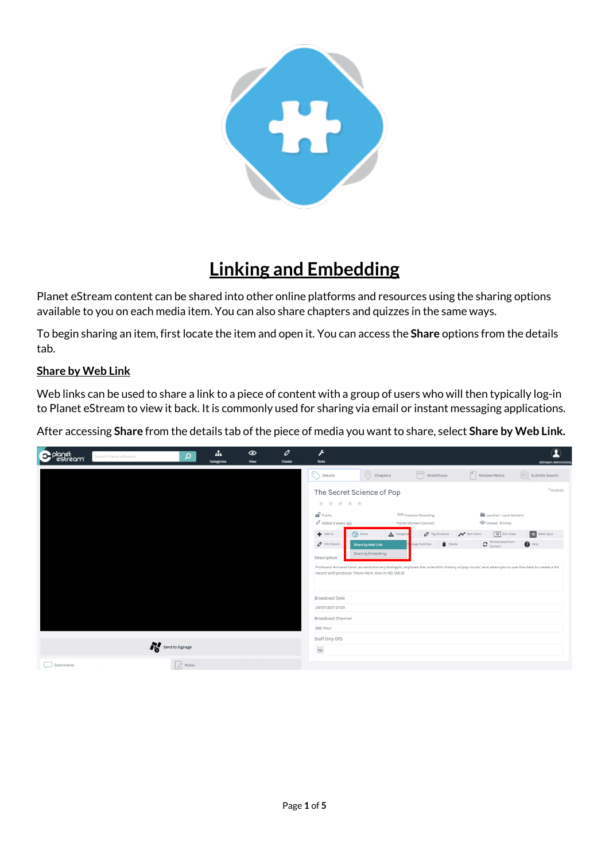

## **Linking and Embedding**

Planet eStream content can be shared into other online platforms and resources using the sharing options available to you on each media item. You can also share chapters and quizzes in the same ways.

To begin sharing an item, first locate the item and open it. You can access the **Share** options from the details tab.

## **Share by Web Link**

Web links can be used to share a link to a piece of content with a group of users who will then typically log-in to Planet eStream to view it back. It is commonly used for sharing via email or instant messaging applications.

After accessing Share from the details tab of the piece of media you want to share, select Share by Web Link.

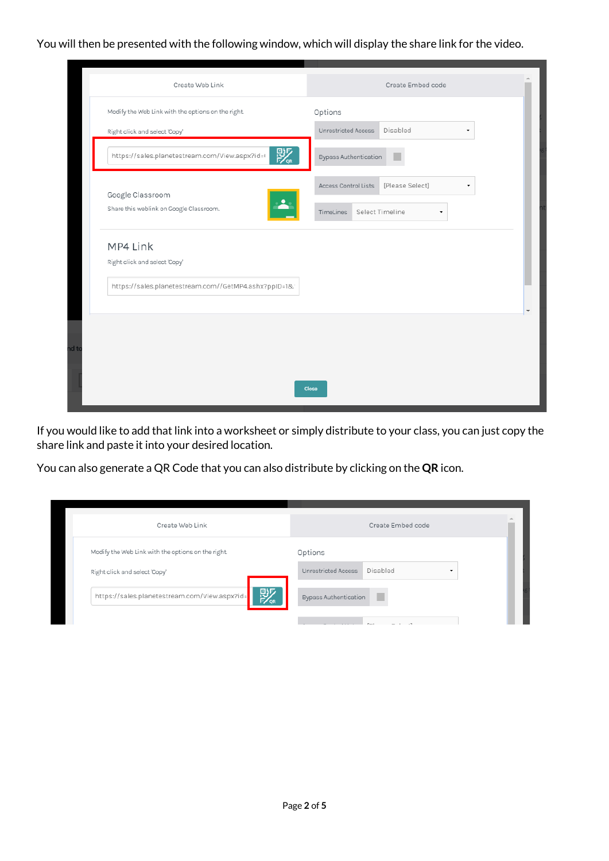You will then be presented with the following window, which will display the share link for the video.

| Modify the Web Link with the options on the right.<br>Options<br>Disabled<br>Unrestricted Access<br>Right click and select 'Copy'<br>骤<br>https://sales.planetestream.com/View.aspx?id=t<br>Bypass Authentication<br>[Please Select]<br>Access Control Lists<br>۰<br>Google Classroom<br>$\blacktriangle$<br>Share this weblink on Google Classroom.<br>Select Timeline<br>TimeLines<br>۰<br>MP4 Link<br>Right click and select 'Copy'<br>https://sales.planetestream.com//GetMP4.ashx?ppID=1& | Create Web Link | Create Embed code |
|------------------------------------------------------------------------------------------------------------------------------------------------------------------------------------------------------------------------------------------------------------------------------------------------------------------------------------------------------------------------------------------------------------------------------------------------------------------------------------------------|-----------------|-------------------|
|                                                                                                                                                                                                                                                                                                                                                                                                                                                                                                |                 |                   |
|                                                                                                                                                                                                                                                                                                                                                                                                                                                                                                |                 |                   |
|                                                                                                                                                                                                                                                                                                                                                                                                                                                                                                |                 |                   |
|                                                                                                                                                                                                                                                                                                                                                                                                                                                                                                |                 |                   |
|                                                                                                                                                                                                                                                                                                                                                                                                                                                                                                |                 |                   |
|                                                                                                                                                                                                                                                                                                                                                                                                                                                                                                |                 |                   |
|                                                                                                                                                                                                                                                                                                                                                                                                                                                                                                |                 |                   |
|                                                                                                                                                                                                                                                                                                                                                                                                                                                                                                |                 |                   |
|                                                                                                                                                                                                                                                                                                                                                                                                                                                                                                |                 |                   |
|                                                                                                                                                                                                                                                                                                                                                                                                                                                                                                |                 | Close             |

If you would like to add that link into a worksheet or simply distribute to your class, you can just copy the share link and paste it into your desired location.

You can also generate a QR Code that you can also distribute by clicking on the **QR** icon.

| Create Web Link                                    | Create Embed code                                           |
|----------------------------------------------------|-------------------------------------------------------------|
| Modify the Web Link with the options on the right. | Options                                                     |
| Right click and select 'Copy'                      | Disabled<br>Unrestricted Access<br>$\overline{\phantom{a}}$ |
| 赕<br>https://sales.planetestream.com/View.aspx?id= | <b>Bypass Authentication</b>                                |
|                                                    |                                                             |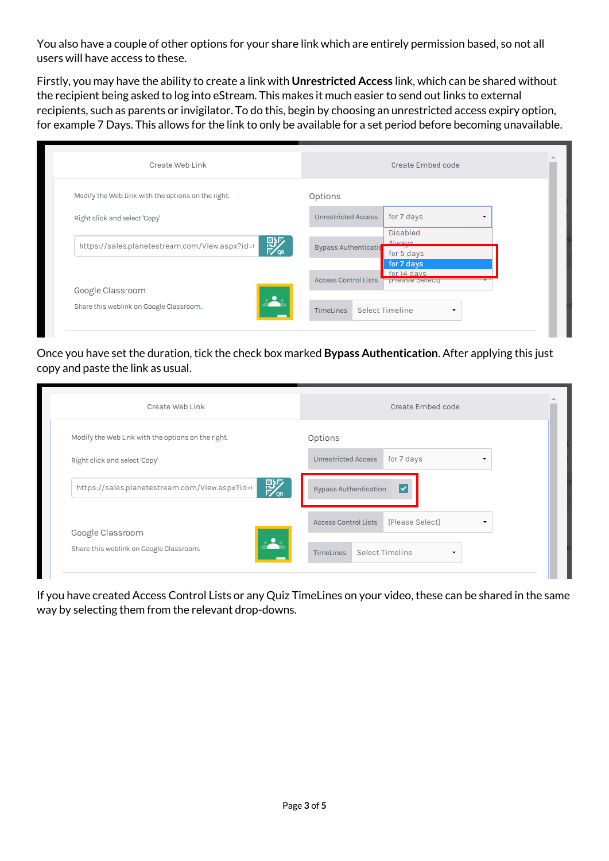You also have a couple of other options for your share link which are entirely permission based, so not all users will have access to these.

Firstly, you may have the ability to create a link with **Unrestricted Access** link, which can be shared without the recipient being asked to log into eStream. This makes it much easier to send out links to external recipients, such as parents or invigilator. To do this, begin by choosing an unrestricted access expiry option, for example 7 Days. This allows for the link to only be available for a set period before becoming unavailable.

| Create Web Link                                     | Create Embed code                                             |
|-----------------------------------------------------|---------------------------------------------------------------|
| Modify the Web Link with the options on the right.  | Options                                                       |
| Right click and select 'Copy'                       | for 7 days<br>Unrestricted Access                             |
| 彯<br>https://sales.planetestream.com/View.aspx?id=I | <b>Disabled</b><br>Alwaye<br>Bypass Authentication            |
|                                                     | for 5 days<br>for 7 days                                      |
|                                                     | for 14 days<br>Access Control Lists<br><b>TIPIEASE SEIECU</b> |
| Google Classroom                                    |                                                               |
| Share this weblink on Google Classroom.             | Select Timeline<br>TimeLines                                  |

Once you have set the duration, tick the check box marked **Bypass Authentication**. After applying this just copy and paste the link as usual.

| Create Web Link                                         | Create Embed code                                             |
|---------------------------------------------------------|---------------------------------------------------------------|
| Modify the Web Link with the options on the right.      | Options                                                       |
| Right click and select 'Copy'                           | for 7 days<br>Unrestricted Access<br>$\overline{\phantom{a}}$ |
| 彯<br>https://sales.planetestream.com/View.aspx?id=I     | ∣V<br><b>Bypass Authentication</b>                            |
| Google Classroom                                        | [Please Select]<br>Access Control Lists                       |
| $\mathbf{P}$<br>Share this weblink on Google Classroom. | Select Timeline<br>TimeLines<br>٠                             |

If you have created Access Control Lists or any Quiz TimeLines on your video, these can be shared in the same way by selecting them from the relevant drop-downs.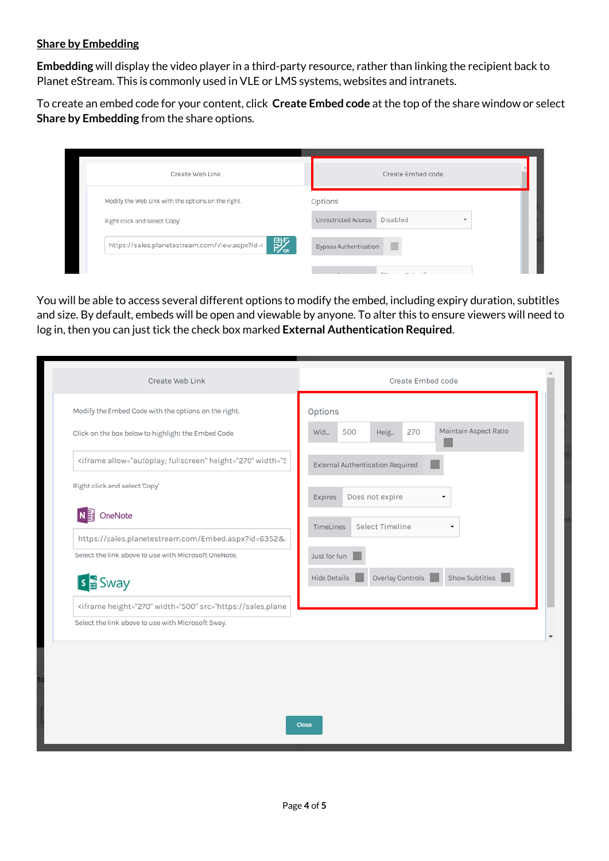## **Share by Embedding**

**Embedding** will display the video player in a third-party resource, rather than linking the recipient back to Planet eStream. This is commonly used in VLE or LMS systems, websites and intranets.

To create an embed code for your content, click **Create Embed code** at the top of the share window or select **Share by Embedding** from the share options.

| Options                           |
|-----------------------------------|
| Disabled<br>Unrestricted Access   |
| <b>Bypass Authentication</b><br>٠ |
|                                   |

You will be able to access several different options to modify the embed, including expiry duration, subtitles and size. By default, embeds will be open and viewable by anyone. To alter this to ensure viewers will need to log in, then you can just tick the check box marked **External Authentication Required**.

| Create Web Link                                                                                           | Create Embed code                                  |
|-----------------------------------------------------------------------------------------------------------|----------------------------------------------------|
| Modify the Embed Code with the options on the right.                                                      | Options                                            |
| Click on the box below to highlight the Embed Code                                                        | Maintain Aspect Ratio<br>500<br>270<br>Wid<br>Heig |
| <iframe allow="autoplay; fullscreen" height="270" width="5</td> <td>External Authentication Required</td> | External Authentication Required                   |
| Right click and select 'Copy'                                                                             | Does not expire<br>Expires<br>۰                    |
| OneNote<br>N∃                                                                                             |                                                    |
| https://sales.planetestream.com/Embed.aspx?id=6352&                                                       | Select Timeline<br>TimeLines                       |
| Select the link above to use with Microsoft OneNote.                                                      | Just for fun                                       |
| s <sub>a</sub> Sway                                                                                       | Overlay Controls<br>Show Subtitles<br>Hide Details |
| <iframe height="270" width="500" src="https://sales.plane</td> <td></td>                                  |                                                    |
| Select the link above to use with Microsoft Sway.                                                         |                                                    |
|                                                                                                           |                                                    |
|                                                                                                           |                                                    |
|                                                                                                           |                                                    |
|                                                                                                           |                                                    |
|                                                                                                           | Close                                              |